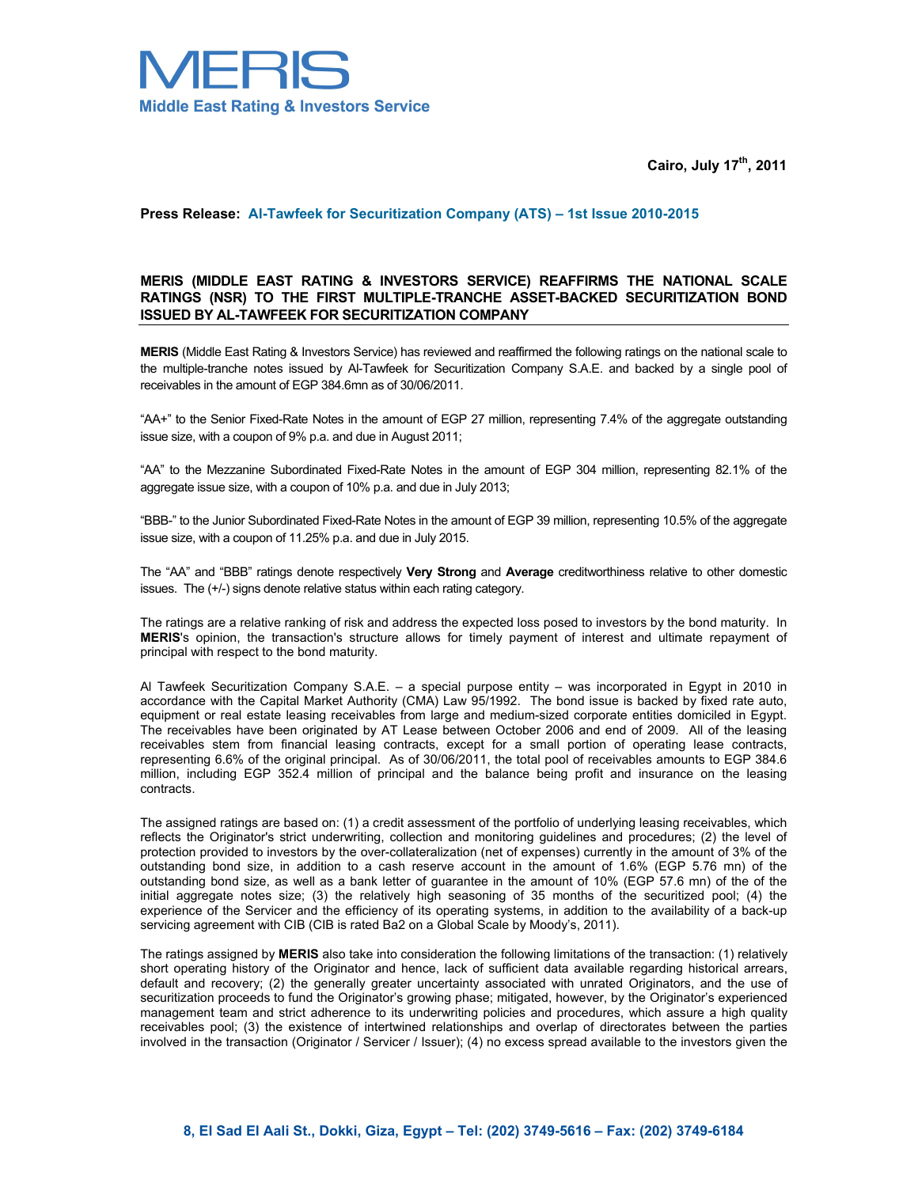

**Cairo, July 17th, 2011** 

## **Press Release: Al-Tawfeek for Securitization Company (ATS) – 1st Issue 2010-2015**

## **MERIS (MIDDLE EAST RATING & INVESTORS SERVICE) REAFFIRMS THE NATIONAL SCALE RATINGS (NSR) TO THE FIRST MULTIPLE-TRANCHE ASSET-BACKED SECURITIZATION BOND ISSUED BY AL-TAWFEEK FOR SECURITIZATION COMPANY**

**MERIS** (Middle East Rating & Investors Service) has reviewed and reaffirmed the following ratings on the national scale to the multiple-tranche notes issued by Al-Tawfeek for Securitization Company S.A.E. and backed by a single pool of receivables in the amount of EGP 384.6mn as of 30/06/2011.

"AA+" to the Senior Fixed-Rate Notes in the amount of EGP 27 million, representing 7.4% of the aggregate outstanding issue size, with a coupon of 9% p.a. and due in August 2011;

"AA" to the Mezzanine Subordinated Fixed-Rate Notes in the amount of EGP 304 million, representing 82.1% of the aggregate issue size, with a coupon of 10% p.a. and due in July 2013;

"BBB-" to the Junior Subordinated Fixed-Rate Notes in the amount of EGP 39 million, representing 10.5% of the aggregate issue size, with a coupon of 11.25% p.a. and due in July 2015.

The "AA" and "BBB" ratings denote respectively **Very Strong** and **Average** creditworthiness relative to other domestic issues. The (+/-) signs denote relative status within each rating category.

The ratings are a relative ranking of risk and address the expected loss posed to investors by the bond maturity. In **MERIS**'s opinion, the transaction's structure allows for timely payment of interest and ultimate repayment of principal with respect to the bond maturity.

Al Tawfeek Securitization Company S.A.E. – a special purpose entity – was incorporated in Egypt in 2010 in accordance with the Capital Market Authority (CMA) Law 95/1992. The bond issue is backed by fixed rate auto, equipment or real estate leasing receivables from large and medium-sized corporate entities domiciled in Egypt. The receivables have been originated by AT Lease between October 2006 and end of 2009. All of the leasing receivables stem from financial leasing contracts, except for a small portion of operating lease contracts, representing 6.6% of the original principal. As of 30/06/2011, the total pool of receivables amounts to EGP 384.6 million, including EGP 352.4 million of principal and the balance being profit and insurance on the leasing contracts.

The assigned ratings are based on: (1) a credit assessment of the portfolio of underlying leasing receivables, which reflects the Originator's strict underwriting, collection and monitoring guidelines and procedures; (2) the level of protection provided to investors by the over-collateralization (net of expenses) currently in the amount of 3% of the outstanding bond size, in addition to a cash reserve account in the amount of 1.6% (EGP 5.76 mn) of the outstanding bond size, as well as a bank letter of guarantee in the amount of 10% (EGP 57.6 mn) of the of the initial aggregate notes size; (3) the relatively high seasoning of 35 months of the securitized pool; (4) the experience of the Servicer and the efficiency of its operating systems, in addition to the availability of a back-up servicing agreement with CIB (CIB is rated Ba2 on a Global Scale by Moody's, 2011).

The ratings assigned by **MERIS** also take into consideration the following limitations of the transaction: (1) relatively short operating history of the Originator and hence, lack of sufficient data available regarding historical arrears, default and recovery; (2) the generally greater uncertainty associated with unrated Originators, and the use of securitization proceeds to fund the Originator's growing phase; mitigated, however, by the Originator's experienced management team and strict adherence to its underwriting policies and procedures, which assure a high quality receivables pool; (3) the existence of intertwined relationships and overlap of directorates between the parties involved in the transaction (Originator / Servicer / Issuer); (4) no excess spread available to the investors given the